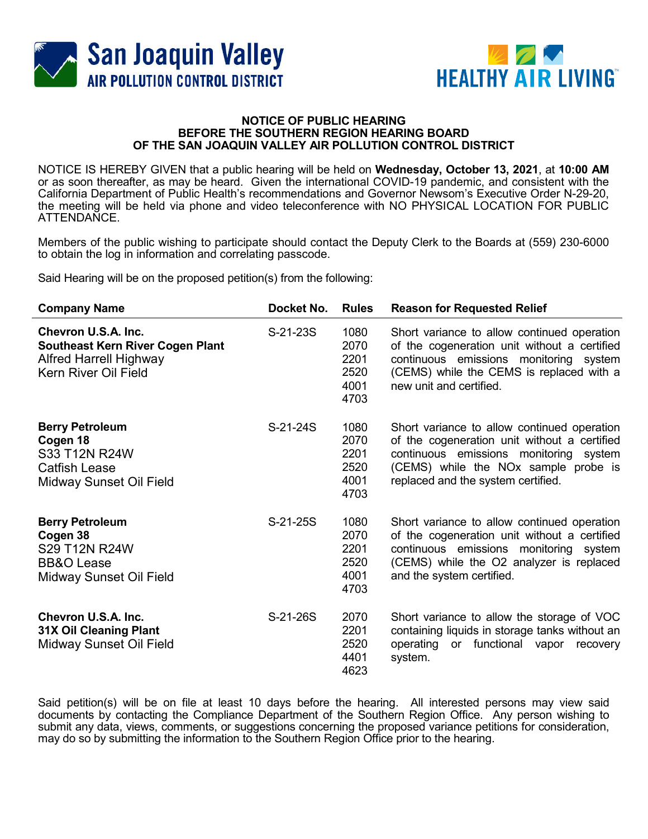



## NOTICE OF PUBLIC HEARING BEFORE THE SOUTHERN REGION HEARING BOARD OF THE SAN JOAQUIN VALLEY AIR POLLUTION CONTROL DISTRICT

NOTICE IS HEREBY GIVEN that a public hearing will be held on Wednesday, October 13, 2021, at 10:00 AM or as soon thereafter, as may be heard. Given the international COVID-19 pandemic, and consistent with the California Department of Public Health's recommendations and Governor Newsom's Executive Order N-29-20, the meeting will be held via phone and video teleconference with NO PHYSICAL LOCATION FOR PUBLIC ATTENDANCE.

Members of the public wishing to participate should contact the Deputy Clerk to the Boards at (559) 230-6000 to obtain the log in information and correlating passcode.

Said Hearing will be on the proposed petition(s) from the following:

| <b>Company Name</b>                                                                                                     | Docket No. | <b>Rules</b>                                 | <b>Reason for Requested Relief</b>                                                                                                                                                                                              |
|-------------------------------------------------------------------------------------------------------------------------|------------|----------------------------------------------|---------------------------------------------------------------------------------------------------------------------------------------------------------------------------------------------------------------------------------|
| Chevron U.S.A. Inc.<br><b>Southeast Kern River Cogen Plant</b><br><b>Alfred Harrell Highway</b><br>Kern River Oil Field | S-21-23S   | 1080<br>2070<br>2201<br>2520<br>4001<br>4703 | Short variance to allow continued operation<br>of the cogeneration unit without a certified<br>continuous emissions monitoring system<br>(CEMS) while the CEMS is replaced with a<br>new unit and certified.                    |
| <b>Berry Petroleum</b><br>Cogen 18<br>S33 T12N R24W<br><b>Catfish Lease</b><br>Midway Sunset Oil Field                  | S-21-24S   | 1080<br>2070<br>2201<br>2520<br>4001<br>4703 | Short variance to allow continued operation<br>of the cogeneration unit without a certified<br>continuous emissions monitoring system<br>(CEMS) while the NO <sub>x</sub> sample probe is<br>replaced and the system certified. |
| <b>Berry Petroleum</b><br>Cogen 38<br>S29 T12N R24W<br><b>BB&amp;O</b> Lease<br>Midway Sunset Oil Field                 | S-21-25S   | 1080<br>2070<br>2201<br>2520<br>4001<br>4703 | Short variance to allow continued operation<br>of the cogeneration unit without a certified<br>continuous emissions monitoring system<br>(CEMS) while the O2 analyzer is replaced<br>and the system certified.                  |
| Chevron U.S.A. Inc.<br><b>31X Oil Cleaning Plant</b><br>Midway Sunset Oil Field                                         | S-21-26S   | 2070<br>2201<br>2520<br>4401<br>4623         | Short variance to allow the storage of VOC<br>containing liquids in storage tanks without an<br>operating or functional vapor recovery<br>system.                                                                               |

Said petition(s) will be on file at least 10 days before the hearing. All interested persons may view said documents by contacting the Compliance Department of the Southern Region Office. Any person wishing to submit any data, views, comments, or suggestions concerning the proposed variance petitions for consideration, may do so by submitting the information to the Southern Region Office prior to the hearing.